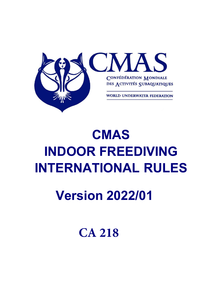

# **CMAS INDOOR FREEDIVING INTERNATIONAL RULES**

# **Version 2022/01**

**CA 218**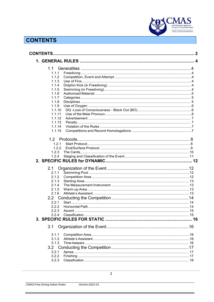

# **CONTENTS**

|                | $\overline{2}$ |
|----------------|----------------|
|                |                |
|                |                |
| 1.1            |                |
| 1.1.1          |                |
| 1.1.2          |                |
| 1.1.3          |                |
| 1.1.4          |                |
| 1.1.5          |                |
| 1.1.6          |                |
| 1.1.7          |                |
| 1.1.8          |                |
| 1.1.9          |                |
| 1.1.10         |                |
| 1.1.11         |                |
| 1.1.12         |                |
| 1.1.13         |                |
| 1.1.14         |                |
| 1.1.15         |                |
|                |                |
|                |                |
| 1.2.1          |                |
| 1.2.2          |                |
| 1.2.3          |                |
| 1.2.4          |                |
|                |                |
|                |                |
|                |                |
| 2.1            |                |
| 2.1.1          |                |
|                |                |
| 2.1.2          |                |
| 2.1.3          |                |
| 2.1.4          |                |
| 2.1.5          |                |
| 2.1.6          |                |
|                |                |
| 2.2.1          |                |
| 2.2.2          |                |
| 2.2.3          |                |
| 2.2.4          |                |
|                |                |
|                |                |
| 3.1            |                |
| 3.1.1          |                |
| 3.1.2          |                |
| 3.1.3          |                |
|                |                |
|                |                |
| 3.2.1          |                |
| 3.2.2<br>3.2.3 |                |

Î.

Version 2022-01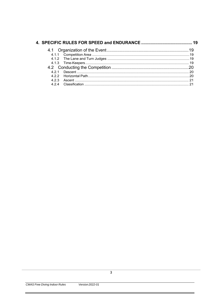| 4 2 1 |  |
|-------|--|
|       |  |
| 423   |  |
| 424   |  |

٠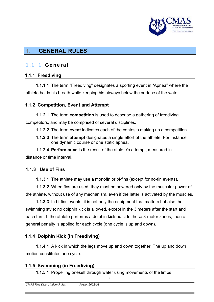

# **1. GENERAL RULES**

# 1.1 1 General

## **1.1.1 Freediving**

**1.1.1.1** The term "Freediving" designates a sporting event in "Apnea" where the athlete holds his breath while keeping his airways below the surface of the water.

# **1.1.2 Competition, Event and Attempt**

**1.1.2.1** The term **competition** is used to describe a gathering of freediving competitors, and may be comprised of several disciplines.

**1.1.2.2** The term **event** indicates each of the contests making up a competition.

**1.1.2.3** The term **attempt** designates a single effort of the athlete. For instance, one dynamic course or one static apnea.

**1.1.2.4 Performance** is the result of the athlete's attempt, measured in distance or time interval.

# **1.1.3 Use of Fins**

**1.1.3.1** The athlete may use a monofin or bi-fins (except for no-fin events).

**1.1.3.2** When fins are used, they must be powered only by the muscular power of the athlete, without use of any mechanism, even if the latter is activated by the muscles.

**1.1.3.3** In bi-fins events, it is not only the equipment that matters but also the swimming style: no dolphin kick is allowed, except in the 3 meters after the start and each turn. If the athlete performs a dolphin kick outside these 3-meter zones, then a general penalty is applied for each cycle (one cycle is up and down).

# **1.1.4 Dolphin Kick (in Freediving)**

**1.1.4.1** A kick in which the legs move up and down together. The up and down motion constitutes one cycle.

# **1.1.5 Swimming (in Freediving)**

**1.1.5.1** Propelling oneself through water using movements of the limbs.

| CMAS Free Diving Indoor Rules | Version 2022-01 |  |
|-------------------------------|-----------------|--|
|                               |                 |  |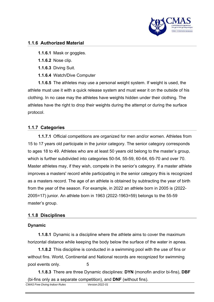

#### **1.1.6 Authorized Material**

- **1.1.6.1** Mask or goggles.
- **1.1.6.2** Nose clip.
- **1.1.6.3** Diving Suit.
- **1.1.6.4** Watch/Dive Computer

**1.1.6.5** The athletes may use a personal weight system. If weight is used, the athlete must use it with a quick release system and must wear it on the outside of his clothing. In no case may the athletes have weights hidden under their clothing. The athletes have the right to drop their weights during the attempt or during the surface protocol.

# **1.1.7 Categories**

**1.1.7.1** Official competitions are organized for men and/or women. Athletes from 15 to 17 years old participate in the junior category. The senior category corresponds to ages 18 to 49. Athletes who are at least 50 years old belong to the master's group, which is further subdivided into categories 50-54, 55-59, 60-64, 65-70 and over 70. Master athletes may, if they wish, compete in the senior's category. If a master athlete improves a masters' record while participating in the senior category this is recognized as a masters record. The age of an athlete is obtained by subtracting the year of birth from the year of the season. For example, in 2022 an athlete born in 2005 is (2022- 2005=17) junior. An athlete born in 1963 (2022-1963=59) belongs to the 55-59 master's group.

#### **1.1.8 Disciplines**

#### **Dynamic**

**1.1.8.1** Dynamic is a discipline where the athlete aims to cover the maximum horizontal distance while keeping the body below the surface of the water in apnea.

**1.1.8.2** This discipline is conducted in a swimming pool with the use of fins or without fins. World, Continental and National records are recognized for swimming pool events only. 5

**1.1.8.3** There are three Dynamic disciplines: **DYN** (monofin and/or bi-fins), **DBF**  (bi-fins only as a separate competition), and **DNF** (without fins).

| <b>CMAS Free Diving Indoor Rules</b> | Version 2022-01 |  |
|--------------------------------------|-----------------|--|
|                                      |                 |  |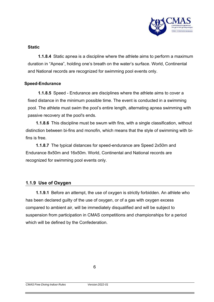

#### **Static**

**1.1.8.4** Static apnea is a discipline where the athlete aims to perform a maximum duration in "Apnea", holding one's breath on the water's surface. World, Continental and National records are recognized for swimming pool events only.

#### **Speed-Endurance**

**1.1.8.5** Speed - Endurance are disciplines where the athlete aims to cover a fixed distance in the minimum possible time. The event is conducted in a swimming pool. The athlete must swim the pool's entire length, alternating apnea swimming with passive recovery at the pool's ends.

**1.1.8.6** This discipline must be swum with fins, with a single classification, without distinction between bi-fins and monofin, which means that the style of swimming with bifins is free.

**1.1.8.7** The typical distances for speed-endurance are Speed 2x50m and Endurance 8x50m and 16x50m. World, Continental and National records are recognized for swimming pool events only.

#### **1.1.9 Use of Oxygen**

**1.1.9.1** Before an attempt, the use of oxygen is strictly forbidden. An athlete who has been declared guilty of the use of oxygen, or of a gas with oxygen excess compared to ambient air, will be immediately disqualified and will be subject to suspension from participation in CMAS competitions and championships for a period which will be defined by the Confederation.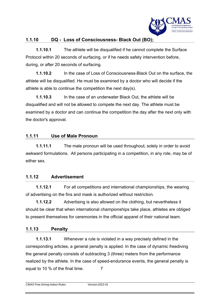

# **1.1.10 DQ - Loss of Consciousness- Black Out (BO);**

**1.1.10.1** The athlete will be disqualified if he cannot complete the Surface Protocol within 20 seconds of surfacing, or if he needs safety intervention before, during, or after 20 seconds of surfacing.

**1.1.10.2** In the case of Loss of Consciousness-Black Out on the surface, the athlete will be disqualified. He must be examined by a doctor who will decide if the athlete is able to continue the competition the next day(s).

**1.1.10.3** In the case of an underwater Black Out, the athlete will be disqualified and will not be allowed to compete the next day. The athlete must be examined by a doctor and can continue the competition the day after the next only with the doctor's approval.

# **1.1.11 Use of Male Pronoun**

**1.1.11.1** The male pronoun will be used throughout, solely in order to avoid awkward formulations. All persons participating in a competition, in any role, may be of either sex.

#### **1.1.12 Advertisement**

**1.1.12.1** For all competitions and international championships, the wearing of advertising on the fins and mask is authorized without restriction.

**1.1.12.2** Advertising is also allowed on the clothing, but nevertheless it should be clear that when international championships take place, athletes are obliged to present themselves for ceremonies in the official apparel of their national team.

#### **1.1.13 Penalty**

**1.1.13.1** Whenever a rule is violated in a way precisely defined in the corresponding articles, a general penalty is applied. In the case of dynamic freediving the general penalty consists of subtracting 3 (three) meters from the performance realized by the athlete. In the case of speed-endurance events, the general penalty is equal to 10 % of the final time. 7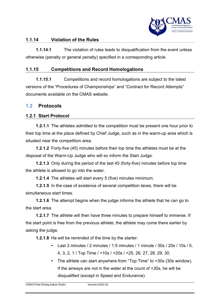

## **1.1.14 Violation of the Rules**

**1.1.14.1** The violation of rules leads to disqualification from the event unless otherwise (penalty or general penalty) specified in a corresponding article.

#### **1.1.15 Competitions and Record Homologations**

**1.1.15.1** Competitions and record homologations are subject to the latest versions of the "Procedures of Championships" and "Contract for Record Attempts" documents available on the CMAS website.

# **1.2 Protocols**

#### **1.2.1 Start Protocol**

**1.2.1.1** The athletes admitted to the competition must be present one hour prior to their top time at the place defined by Chief Judge, such as in the warm-up area which is situated near the competition area.

**1.2.1.2** Forty-five (45) minutes before their top time the athletes must be at the disposal of the Warm-Up Judge who will so inform the Start Judge.

**1.2.1.3** Only during the period of the last 45 (forty-five) minutes before top time the athlete is allowed to go into the water.

**1.2.1.4** The athletes will start every 5 (five) minutes minimum.

**1.2.1.5** In the case of existence of several competition lanes, there will be simultaneous start times.

**1.2.1.6** The attempt begins when the judge informs the athlete that he can go to the start area.

**1.2.1.7** The athlete will then have three minutes to prepare himself to immerse. If the start point is free from the previous athlete, the athlete may come there earlier by asking the judge.

**1.2.1.8** He will be reminded of the time by the starter:

- Last 3 minutes / 2 minutes / 1.5 minutes / 1 minute / 30s / 20s / 10s / 5, 4, 3, 2, 1 / Top Time / +10s / +20s / +25, 26, 27, 28, 29, 30.
- The athlete can start anywhere from "Top Time" to +30s (30s window). If the airways are not in the water at the count of +30s, he will be disqualified (except in Speed and Endurance).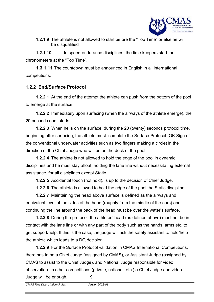

**1.2.1.9** The athlete is not allowed to start before the "Top Time" or else he will be disqualified

**1.2.1.10** In speed-endurance disciplines, the time keepers start the chronometers at the "Top Time".

**1.3.1.11** The countdown must be announced in English in all international competitions.

# **1.2.2 End/Surface Protocol**

**1.2.2.1** At the end of the attempt the athlete can push from the bottom of the pool to emerge at the surface.

**1.2.2.2** Immediately upon surfacing (when the airways of the athlete emerge), the 20-second count starts.

**1.2.2.3** When he is on the surface, during the 20 (twenty) seconds protocol time, beginning after surfacing, the athlete must: complete the Surface Protocol (OK Sign of the conventional underwater activities such as two fingers making a circle) in the direction of the Chief Judge who will be on the deck of the pool.

**1.2.2.4** The athlete is not allowed to hold the edge of the pool in dynamic disciplines and he must stay afloat, holding the lane line without necessitating external assistance, for all disciplines except Static.

**1.2.2.5** Accidental touch (not hold), is up to the decision of Chief Judge.

**1.2.2.6** The athlete is allowed to hold the edge of the pool the Static discipline.

**1.2.2.7** Maintaining the head above surface is defined as the airways and equivalent level of the sides of the head (roughly from the middle of the ears) and continuing the line around the back of the head must be over the water's surface.

**1.2.2.8** During the protocol, the athletes' head (as defined above) must not be in contact with the lane line or with any part of the body such as the hands, arms etc. to get support/help. If this is the case, the judge will ask the safety assistant to hold/help the athlete which leads to a DQ decision.

**1.2.2.9** For the Surface Protocol validation in CMAS International Competitions, there has to be a Chief Judge (assigned by CMAS), or Assistant Judge (assigned by CMAS to assist to the Chief Judge), and National Judge responsible for video observation. In other competitions (private, national, etc.) a Chief Judge and video Judge will be enough. 9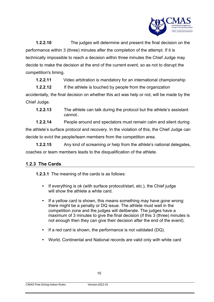

**1.2.2.10** The judges will determine and present the final decision on the performance within 3 (three) minutes after the completion of the attempt. If it is technically impossible to reach a decision within three minutes the Chief Judge may decide to make the decision at the end of the current event, so as not to disrupt the competition's timing.

**1.2.2.11** Video arbitration is mandatory for an international championship

**1.2.2.12** If the athlete is touched by people from the organization

accidentally, the final decision on whether this act was help or not, will be made by the Chief Judge.

**1.2.2.14** People around and spectators must remain calm and silent during the athlete's surface protocol and recovery. In the violation of this, the Chief Judge can decide to evict the people/team members from the competition area.

**1.2.2.15** Any kind of screaming or help from the athlete's national delegates, coaches or team members leads to the disqualification of the athlete.

# **1.2.3 The Cards**

**1.2.3.1** The meaning of the cards is as follows:

- If everything is ok (with surface protocol/start, etc.), the Chief judge will show the athlete a white card.
- If a yellow card is shown, this means something may have gone wrong: there might be a penalty or DQ issue. The athlete must wait in the competition zone and the judges will deliberate. The judges have a maximum of 3 minutes to give the final decision (if this 3 (three) minutes is not enough then they can give their decision after the end of the event).
- If a red card is shown, the performance is not validated (DQ).
- World, Continental and National records are valid only with white card

**<sup>1.2.2.13</sup>** The athlete can talk during the protocol but the athlete's assistant cannot..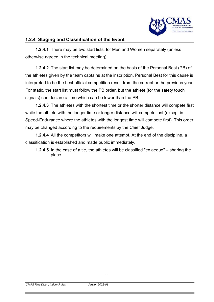

#### **1.2.4 Staging and Classification of the Event**

**1.2.4.1** There may be two start lists, for Men and Women separately (unless otherwise agreed in the technical meeting).

**1.2.4.2** The start list may be determined on the basis of the Personal Best (PB) of the athletes given by the team captains at the inscription. Personal Best for this cause is interpreted to be the best official competition result from the current or the previous year. For static, the start list must follow the PB order, but the athlete (for the safety touch signals) can declare a time which can be lower than the PB.

**1.2.4.3** The athletes with the shortest time or the shorter distance will compete first while the athlete with the longer time or longer distance will compete last (except in Speed-Endurance where the athletes with the longest time will compete first). This order may be changed according to the requirements by the Chief Judge.

**1.2.4.4** All the competitors will make one attempt. At the end of the discipline, a classification is established and made public immediately.

**1.2.4.5** In the case of a tie, the athletes will be classified "ex aequo" – sharing the place.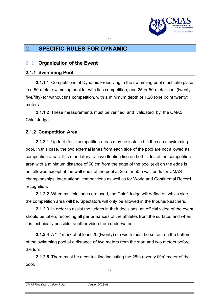

# **2. SPECIFIC RULES FOR DYNAMIC**

# 2.1 **Organization of the Event**

#### **2.1.1 Swimming Pool**

**2.1.1.1** Competitions of Dynamic Freediving in the swimming pool must take place in a 50-meter swimming pool for with fins competition, and 25 or 50-meter pool (twenty five/fifty) for without fins competition, with a minimum depth of 1.20 (one point twenty) meters.

11

**2.1.1.2** These measurements must be verified and validated by the CMAS Chief Judge.

#### **2.1.2 Competition Area**

**2.1.2.1** Up to 4 (four) competition areas may be installed in the same swimming pool. In this case, the two external lanes from each side of the pool are not allowed as competition areas. It is mandatory to have floating line on both sides of the competition area with a minimum distance of 60 cm from the edge of the pool (exit on the edge is not allowed except at the wall ends of the pool at 25m or 50m wall ends for CMAS championships, international competitions as well as for World and Continental Record recognition.

**2.1.2.2** When multiple lanes are used, the Chief Judge will define on which side the competition area will be. Spectators will only be allowed in the tribune/bleachers.

**2.1.2.3** In order to assist the judges in their decisions, an official video of the event should be taken, recording all performances of the athletes from the surface, and when it is technically possible, another video from underwater.

**2.1.2.4** A "T" mark of at least 20 (twenty) cm width must be set out on the bottom of the swimming pool at a distance of two meters from the start and two meters before the turn.

**2.1.2.5** There must be a central line indicating the 25th (twenty fifth) meter of the pool.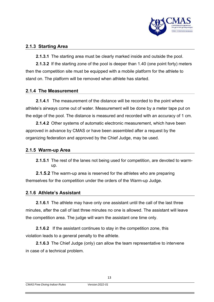

#### **2.1.3 Starting Area**

**2.1.3.1** The starting area must be clearly marked inside and outside the pool.

**2.1.3.2** If the starting zone of the pool is deeper than 1.40 (one point forty) meters then the competition site must be equipped with a mobile platform for the athlete to stand on. The platform will be removed when athlete has started.

#### **2.1.4 The Measurement**

**2.1.4.1** The measurement of the distance will be recorded to the point where athlete's airways come out of water. Measurement will be done by a meter tape put on the edge of the pool. The distance is measured and recorded with an accuracy of 1 cm.

**2.1.4.2** Other systems of automatic electronic measurement, which have been approved in advance by CMAS or have been assembled after a request by the organizing federation and approved by the Chief Judge, may be used.

#### **2.1.5 Warm-up Area**

**2.1.5.1** The rest of the lanes not being used for competition, are devoted to warmup.

**2.1.5.2** The warm-up area is reserved for the athletes who are preparing themselves for the competition under the orders of the Warm-up Judge.

#### **2.1.6 Athlete's Assistant**

**2.1.6.1** The athlete may have only one assistant until the call of the last three minutes, after the call of last three minutes no one is allowed. The assistant will leave the competition area. The judge will warn the assistant one time only.

**2.1.6.2** If the assistant continues to stay in the competition zone, this violation leads to a general penalty to the athlete.

**2.1.6.3** The Chief Judge (only) can allow the team representative to intervene in case of a technical problem.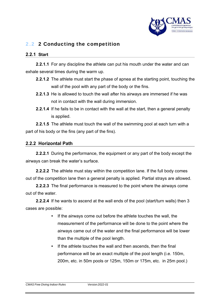

# 2.2 2 Conducting the competition

#### **2.2.1 Start**

**2.2.1.1** For any discipline the athlete can put his mouth under the water and can exhale several times during the warm up.

- **2.2.1.2** The athlete must start the phase of apnea at the starting point, touching the wall of the pool with any part of the body or the fins.
- **2.2.1.3** He is allowed to touch the wall after his airways are immersed if he was not in contact with the wall during immersion.
- **2.2.1.4** If he fails to be in contact with the wall at the start, then a general penalty is applied.

**2.2.1.5** The athlete must touch the wall of the swimming pool at each turn with a part of his body or the fins (any part of the fins).

#### **2.2.2 Horizontal Path**

**2.2.2.1** During the performance, the equipment or any part of the body except the airways can break the water's surface.

**2.2.2.2** The athlete must stay within the competition lane. If the full body comes out of the competition lane then a general penalty is applied. Partial strays are allowed.

**2.2.2.3** The final performance is measured to the point where the airways come out of the water.

**2.2.2.4** If he wants to ascend at the wall ends of the pool (start/turn walls) then 3 cases are possible:

- If the airways come out before the athlete touches the wall, the measurement of the performance will be done to the point where the airways came out of the water and the final performance will be lower than the multiple of the pool length.
- If the athlete touches the wall and then ascends, then the final performance will be an exact multiple of the pool length (i.e. 150m, 200m, etc. in 50m pools or 125m, 150m or 175m, etc. in 25m pool.)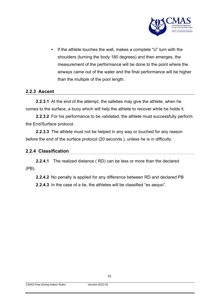

• If the athlete touches the wall, makes a complete "U" turn with the shoulders (turning the body 180 degrees) and then emerges, the measurement of the performance will be done to the point where the airways came out of the water and the final performance will be higher than the multiple of the pool length.

#### **2.2.3 Ascent**

**2.2.3.1** At the end of the attempt, the safeties may give the athlete, when he comes to the surface, a buoy which will help the athlete to recover while he holds it.

**2.2.3.2** For his performance to be validated, the athlete must successfully perform the End/Surface protocol.

**2.2.3.3** The athlete must not be helped in any way or touched for any reason before the end of the surface protocol (20 seconds ), unless he is in difficulty.

#### **2.2.4 Classification**

**2.2.4.1** The realized distance ( RD) can be less or more than the declared (PB).

**2.2.4.2** No penalty is applied for any difference between RD and declared PB

**2.2.4.3** In the case of a tie, the athletes will be classified "ex aequo".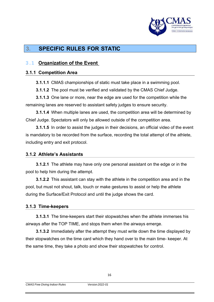

# **3. SPECIFIC RULES FOR STATIC**

# 3.1 **Organization of the Event**

#### **3.1.1 Competition Area**

**3.1.1.1** CMAS championships of static must take place in a swimming pool.

**3.1.1.2** The pool must be verified and validated by the CMAS Chief Judge.

**3.1.1.3** One lane or more, near the edge are used for the competition while the remaining lanes are reserved to assistant safety judges to ensure security.

**3.1.1.4** When multiple lanes are used, the competition area will be determined by Chief Judge. Spectators will only be allowed outside of the competition area.

**3.1.1.5** In order to assist the judges in their decisions, an official video of the event is mandatory to be recorded from the surface, recording the total attempt of the athlete, including entry and exit protocol.

#### **3.1.2 Athlete's Assistants**

**3.1.2.1** The athlete may have only one personal assistant on the edge or in the pool to help him during the attempt.

**3.1.2.2** This assistant can stay with the athlete in the competition area and in the pool, but must not shout, talk, touch or make gestures to assist or help the athlete during the Surface/Exit Protocol and until the judge shows the card.

#### **3.1.3 Time-keepers**

**3.1.3.1** The time-keepers start their stopwatches when the athlete immerses his airways after the TOP TIME, and stops them when the airways emerge.

**3.1.3.2** Immediately after the attempt they must write down the time displayed by their stopwatches on the time card which they hand over to the main time- keeper. At the same time, they take a photo and show their stopwatches for control.

16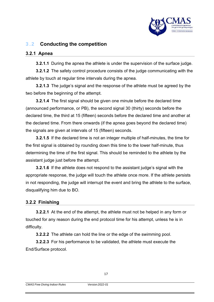

# 3.2 **Conducting the competition**

#### **3.2.1 Apnea**

**3.2.1.1** During the apnea the athlete is under the supervision of the surface judge.

**3.2.1.2** The safety control procedure consists of the judge communicating with the athlete by touch at regular time intervals during the apnea.

**3.2.1.3** The judge's signal and the response of the athlete must be agreed by the two before the beginning of the attempt.

**3.2.1.4** The first signal should be given one minute before the declared time (announced performance, or PB), the second signal 30 (thirty) seconds before the declared time, the third at 15 (fifteen) seconds before the declared time and another at the declared time. From there onwards (if the apnea goes beyond the declared time) the signals are given at intervals of 15 (fifteen) seconds.

**3.2.1.5** If the declared time is not an integer multiple of half-minutes, the time for the first signal is obtained by rounding down this time to the lower half-minute, thus determining the time of the first signal. This should be reminded to the athlete by the assistant judge just before the attempt.

**3.2.1.6** If the athlete does not respond to the assistant judge's signal with the appropriate response, the judge will touch the athlete once more. If the athlete persists in not responding, the judge will interrupt the event and bring the athlete to the surface, disqualifying him due to BO.

#### **3.2.2 Finishing**

**3.2.2.1** At the end of the attempt, the athlete must not be helped in any form or touched for any reason during the end protocol time for his attempt, unless he is in difficulty.

**3.2.2.2** The athlete can hold the line or the edge of the swimming pool.

**3.2.2.3** For his performance to be validated, the athlete must execute the End/Surface protocol.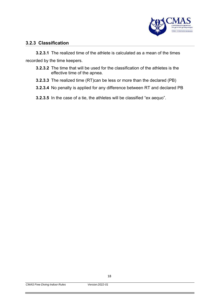

#### **3.2.3 Classification**

**3.2.3.1** The realized time of the athlete is calculated as a mean of the times recorded by the time keepers.

- **3.2.3.2** The time that will be used for the classification of the athletes is the effective time of the apnea.
- **3.2.3.3** The realized time (RT)can be less or more than the declared (PB)
- **3.2.3.4** No penalty is applied for any difference between RT and declared PB
- **3.2.3.5** In the case of a tie, the athletes will be classified "ex aequo".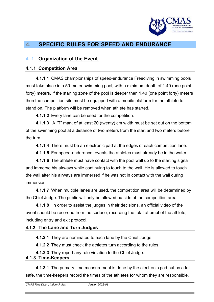

# **4. SPECIFIC RULES FOR SPEED AND ENDURANCE**

# 4.1 **Organization of the Event**

#### **4.1.1 Competition Area**

**4.1.1.1** CMAS championships of speed-endurance Freediving in swimming pools must take place in a 50-meter swimming pool, with a minimum depth of 1.40 (one point forty) meters. If the starting zone of the pool is deeper then 1.40 (one point forty) meters then the competition site must be equipped with a mobile platform for the athlete to stand on. The platform will be removed when athlete has started.

**4.1.1.2** Every lane can be used for the competition.

**4.1.1.3** A "T" mark of at least 20 (twenty) cm width must be set out on the bottom of the swimming pool at a distance of two meters from the start and two meters before the turn.

**4.1.1.4** There must be an electronic pad at the edges of each competition lane.

**4.1.1.5** For speed-endurance events the athletes must already be in the water.

**4.1.1.6** The athlete must have contact with the pool wall up to the starting signal and immerse his airways while continuing to touch to the wall. He is allowed to touch the wall after his airways are immersed if he was not in contact with the wall during immersion.

**4.1.1.7** When multiple lanes are used, the competition area will be determined by the Chief Judge. The public will only be allowed outside of the competition area.

**4.1.1.8** In order to assist the judges in their decisions, an official video of the event should be recorded from the surface, recording the total attempt of the athlete, including entry and exit protocol.

#### **4.1.2 The Lane and Turn Judges**

**4.1.2.1** They are nominated to each lane by the Chief Judge.

**4.1.2.2** They must check the athletes turn according to the rules.

**4.1.2.3** They report any rule violation to the Chief Judge.

#### **4.1.3 Time-Keepers**

**4.1.3.1** The primary time measurement is done by the electronic pad but as a failsafe, the time-keepers record the times of the athletes for whom they are responsible.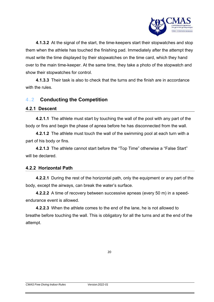

**4.1.3.2** At the signal of the start, the time-keepers start their stopwatches and stop them when the athlete has touched the finishing pad. Immediately after the attempt they must write the time displayed by their stopwatches on the time card, which they hand over to the main time-keeper. At the same time, they take a photo of the stopwatch and show their stopwatches for control.

**4.1.3.3** Their task is also to check that the turns and the finish are in accordance with the rules

# 4.2 **Conducting the Competition**

#### **4.2.1 Descent**

**4.2.1.1** The athlete must start by touching the wall of the pool with any part of the body or fins and begin the phase of apnea before he has disconnected from the wall.

**4.2.1.2** The athlete must touch the wall of the swimming pool at each turn with a part of his body or fins.

**4.2.1.3** The athlete cannot start before the "Top Time" otherwise a "False Start" will be declared.

#### **4.2.2 Horizontal Path**

**4.2.2.1** During the rest of the horizontal path, only the equipment or any part of the body, except the airways, can break the water's surface.

**4.2.2.2** A time of recovery between successive apneas (every 50 m) in a speedendurance event is allowed.

**4.2.2.3** When the athlete comes to the end of the lane, he is not allowed to breathe before touching the wall. This is obligatory for all the turns and at the end of the attempt.

20